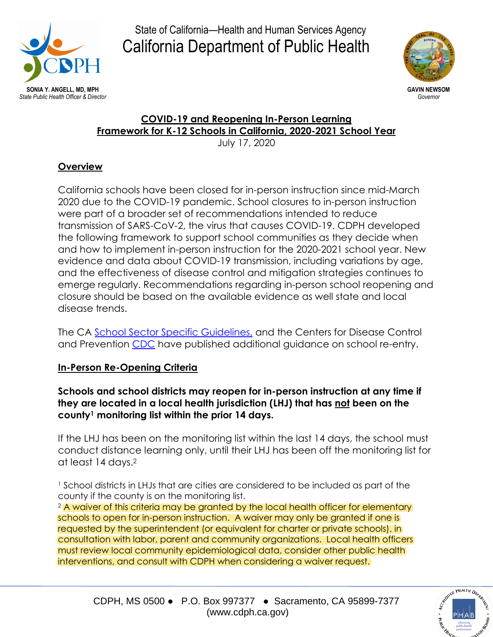



## **COVID-19 and Reopening In-Person Learning Framework for K-12 Schools in California, 2020-2021 School Year**

July 17, 2020

## **Overview**

California schools have been closed for in-person instruction since mid-March 2020 due to the COVID-19 pandemic. School closures to in-person instruction were part of a broader set of recommendations intended to reduce transmission of SARS-CoV-2, the virus that causes COVID-19. CDPH developed the following framework to support school communities as they decide when and how to implement in-person instruction for the 2020-2021 school year. New evidence and data about COVID-19 transmission, including variations by age, and the effectiveness of disease control and mitigation strategies continues to emerge regularly. Recommendations regarding in-person school reopening and closure should be based on the available evidence as well state and local disease trends.

The CA [School Sector Specific Guidelines,](https://files.covid19.ca.gov/pdf/guidance-schools.pdf) and the Centers for Disease Control and Prevention [CDC](https://www.cdc.gov/coronavirus/2019-ncov/community/schools-childcare/schools.html#anchor_1589932092921) have published additional guidance on school re-entry.

## **In-Person Re-Opening Criteria**

#### **Schools and school districts may reopen for in-person instruction at any time if they are located in a local health jurisdiction (LHJ) that has not been on the county<sup>1</sup> monitoring list within the prior 14 days.**

If the LHJ has been on the monitoring list within the last 14 days, the school must conduct distance learning only, until their LHJ has been off the monitoring list for at least 14 days. 2

<sup>1</sup> School districts in LHJs that are cities are considered to be included as part of the county if the county is on the monitoring list.

<sup>2</sup> A waiver of this criteria may be granted by the local health officer for elementary schools to open for in-person instruction. A waiver may only be granted if one is requested by the superintendent (or equivalent for charter or private schools), in consultation with labor, parent and community organizations. Local health officers must review local community epidemiological data, consider other public health interventions, and consult with CDPH when considering a waiver request.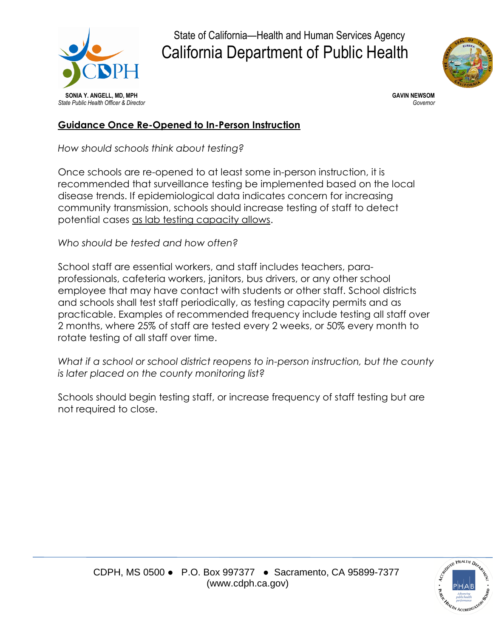



#### **Guidance Once Re-Opened to In-Person Instruction**

*How should schools think about testing?*

Once schools are re-opened to at least some in-person instruction, it is recommended that surveillance testing be implemented based on the local disease trends. If epidemiological data indicates concern for increasing community transmission, schools should increase testing of staff to detect potential cases as lab testing capacity allows.

*Who should be tested and how often?*

School staff are essential workers, and staff includes teachers, paraprofessionals, cafeteria workers, janitors, bus drivers, or any other school employee that may have contact with students or other staff. School districts and schools shall test staff periodically, as testing capacity permits and as practicable. Examples of recommended frequency include testing all staff over 2 months, where 25% of staff are tested every 2 weeks, or 50% every month to rotate testing of all staff over time.

*What if a school or school district reopens to in-person instruction, but the county is later placed on the county monitoring list?*

Schools should begin testing staff, or increase frequency of staff testing but are not required to close.

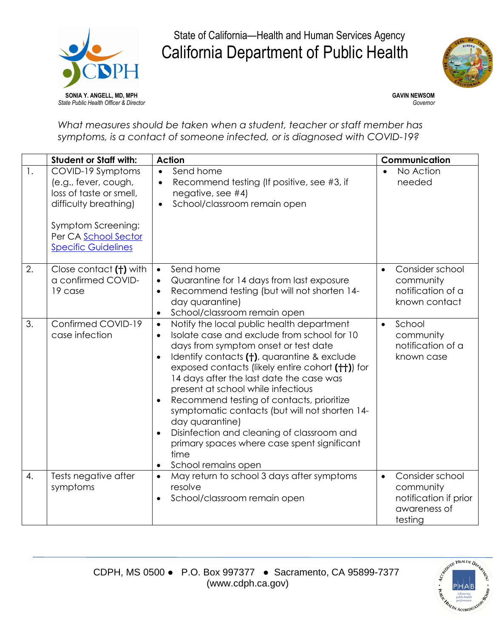



*What measures should be taken when a student, teacher or staff member has symptoms, is a contact of someone infected, or is diagnosed with COVID-19?*

|                  | <b>Student or Staff with:</b>                                                                                                                                             | <b>Action</b>                                                                                                                                                                                                                                                                                                                                                                                                                                                                                                                                                                                                                                     | Communication                                                                                 |
|------------------|---------------------------------------------------------------------------------------------------------------------------------------------------------------------------|---------------------------------------------------------------------------------------------------------------------------------------------------------------------------------------------------------------------------------------------------------------------------------------------------------------------------------------------------------------------------------------------------------------------------------------------------------------------------------------------------------------------------------------------------------------------------------------------------------------------------------------------------|-----------------------------------------------------------------------------------------------|
| $\mathbf{1}$ .   | COVID-19 Symptoms<br>(e.g., fever, cough,<br>loss of taste or smell,<br>difficulty breathing)<br>Symptom Screening:<br>Per CA School Sector<br><b>Specific Guidelines</b> | Send home<br>$\bullet$<br>Recommend testing (If positive, see #3, if<br>$\bullet$<br>negative, see #4)<br>School/classroom remain open<br>$\bullet$                                                                                                                                                                                                                                                                                                                                                                                                                                                                                               | No Action<br>needed                                                                           |
| 2.               | Close contact (†) with<br>a confirmed COVID-<br>19 case                                                                                                                   | Send home<br>$\bullet$<br>Quarantine for 14 days from last exposure<br>$\bullet$<br>Recommend testing (but will not shorten 14-<br>$\bullet$<br>day quarantine)<br>School/classroom remain open<br>$\bullet$                                                                                                                                                                                                                                                                                                                                                                                                                                      | Consider school<br>$\bullet$<br>community<br>notification of a<br>known contact               |
| 3.               | Confirmed COVID-19<br>case infection                                                                                                                                      | Notify the local public health department<br>$\bullet$<br>Isolate case and exclude from school for 10<br>$\bullet$<br>days from symptom onset or test date<br>Identify contacts (†), quarantine & exclude<br>$\bullet$<br>exposed contacts (likely entire cohort (++)) for<br>14 days after the last date the case was<br>present at school while infectious<br>Recommend testing of contacts, prioritize<br>$\bullet$<br>symptomatic contacts (but will not shorten 14-<br>day quarantine)<br>Disinfection and cleaning of classroom and<br>$\bullet$<br>primary spaces where case spent significant<br>time<br>School remains open<br>$\bullet$ | School<br>$\bullet$<br>community<br>notification of a<br>known case                           |
| $\overline{4}$ . | Tests negative after<br>symptoms                                                                                                                                          | May return to school 3 days after symptoms<br>$\bullet$<br>resolve<br>School/classroom remain open<br>$\bullet$                                                                                                                                                                                                                                                                                                                                                                                                                                                                                                                                   | Consider school<br>$\bullet$<br>community<br>notification if prior<br>awareness of<br>testing |

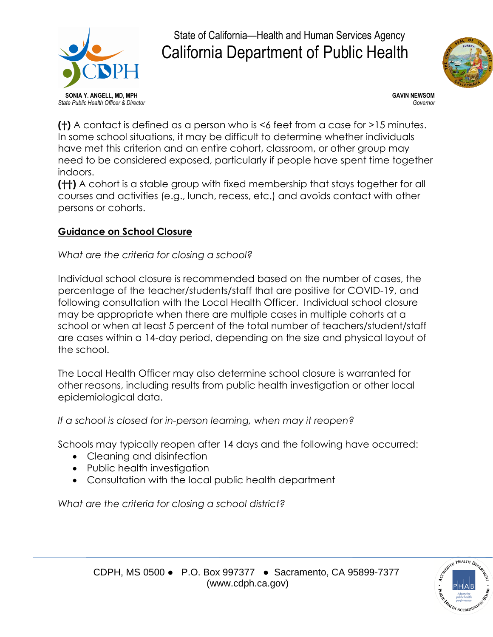



**(†)** A contact is defined as a person who is <6 feet from a case for >15 minutes. In some school situations, it may be difficult to determine whether individuals have met this criterion and an entire cohort, classroom, or other group may need to be considered exposed, particularly if people have spent time together indoors.

**(††)** A cohort is a stable group with fixed membership that stays together for all courses and activities (e.g., lunch, recess, etc.) and avoids contact with other persons or cohorts.

## **Guidance on School Closure**

## *What are the criteria for closing a school?*

Individual school closure is recommended based on the number of cases, the percentage of the teacher/students/staff that are positive for COVID-19, and following consultation with the Local Health Officer. Individual school closure may be appropriate when there are multiple cases in multiple cohorts at a school or when at least 5 percent of the total number of teachers/student/staff are cases within a 14-day period, depending on the size and physical layout of the school.

The Local Health Officer may also determine school closure is warranted for other reasons, including results from public health investigation or other local epidemiological data.

*If a school is closed for in-person learning, when may it reopen?*

Schools may typically reopen after 14 days and the following have occurred:

- Cleaning and disinfection
- Public health investigation
- Consultation with the local public health department

*What are the criteria for closing a school district?*